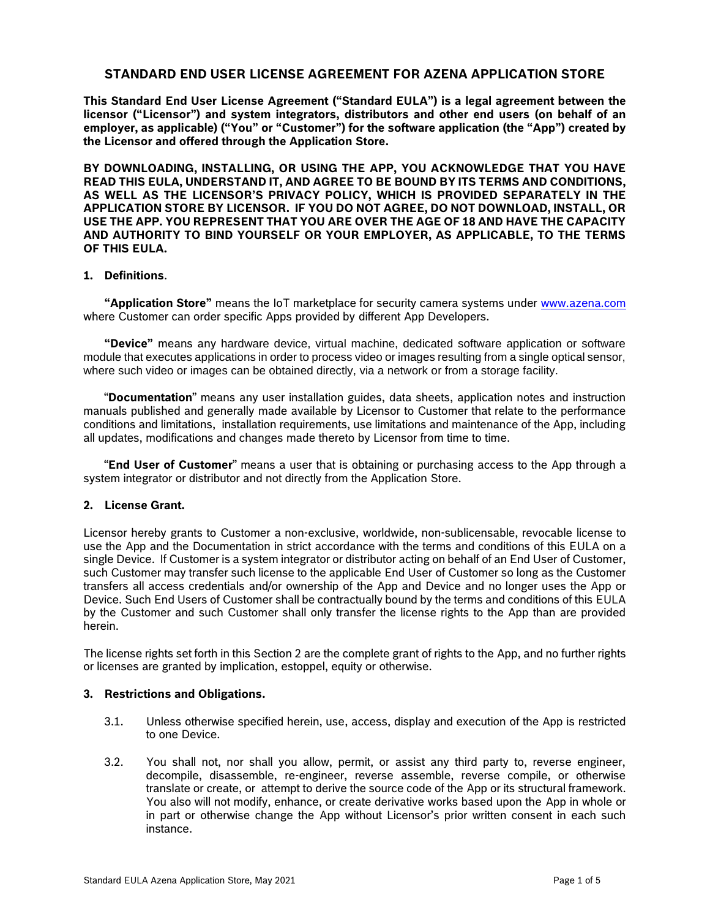### **STANDARD END USER LICENSE AGREEMENT FOR AZENA APPLICATION STORE**

**This Standard End User License Agreement ("Standard EULA") is a legal agreement between the licensor ("Licensor") and system integrators, distributors and other end users (on behalf of an employer, as applicable) ("You" or "Customer") for the software application (the "App") created by the Licensor and offered through the Application Store.** 

**BY DOWNLOADING, INSTALLING, OR USING THE APP, YOU ACKNOWLEDGE THAT YOU HAVE READ THIS EULA, UNDERSTAND IT, AND AGREE TO BE BOUND BY ITS TERMS AND CONDITIONS, AS WELL AS THE LICENSOR'S PRIVACY POLICY, WHICH IS PROVIDED SEPARATELY IN THE APPLICATION STORE BY LICENSOR. IF YOU DO NOT AGREE, DO NOT DOWNLOAD, INSTALL, OR USE THE APP. YOU REPRESENT THAT YOU ARE OVER THE AGE OF 18 AND HAVE THE CAPACITY AND AUTHORITY TO BIND YOURSELF OR YOUR EMPLOYER, AS APPLICABLE, TO THE TERMS OF THIS EULA.**

# **1. Definitions**.

**"Application Store"** means the IoT marketplace for security camera systems under [www.azena.com](http://www.azena.com/) where Customer can order specific Apps provided by different App Developers.

**"Device"** means any hardware device, virtual machine, dedicated software application or software module that executes applications in order to process video or images resulting from a single optical sensor, where such video or images can be obtained directly, via a network or from a storage facility.

"**Documentation**" means any user installation guides, data sheets, application notes and instruction manuals published and generally made available by Licensor to Customer that relate to the performance conditions and limitations, installation requirements, use limitations and maintenance of the App, including all updates, modifications and changes made thereto by Licensor from time to time.

"**End User of Customer**" means a user that is obtaining or purchasing access to the App through a system integrator or distributor and not directly from the Application Store.

#### **2. License Grant.**

Licensor hereby grants to Customer a non-exclusive, worldwide, non-sublicensable, revocable license to use the App and the Documentation in strict accordance with the terms and conditions of this EULA on a single Device. If Customer is a system integrator or distributor acting on behalf of an End User of Customer, such Customer may transfer such license to the applicable End User of Customer so long as the Customer transfers all access credentials and/or ownership of the App and Device and no longer uses the App or Device. Such End Users of Customer shall be contractually bound by the terms and conditions of this EULA by the Customer and such Customer shall only transfer the license rights to the App than are provided herein.

The license rights set forth in this Section 2 are the complete grant of rights to the App, and no further rights or licenses are granted by implication, estoppel, equity or otherwise.

#### **3. Restrictions and Obligations.**

- 3.1. Unless otherwise specified herein, use, access, display and execution of the App is restricted to one Device.
- 3.2. You shall not, nor shall you allow, permit, or assist any third party to, reverse engineer, decompile, disassemble, re-engineer, reverse assemble, reverse compile, or otherwise translate or create, or attempt to derive the source code of the App or its structural framework. You also will not modify, enhance, or create derivative works based upon the App in whole or in part or otherwise change the App without Licensor's prior written consent in each such instance.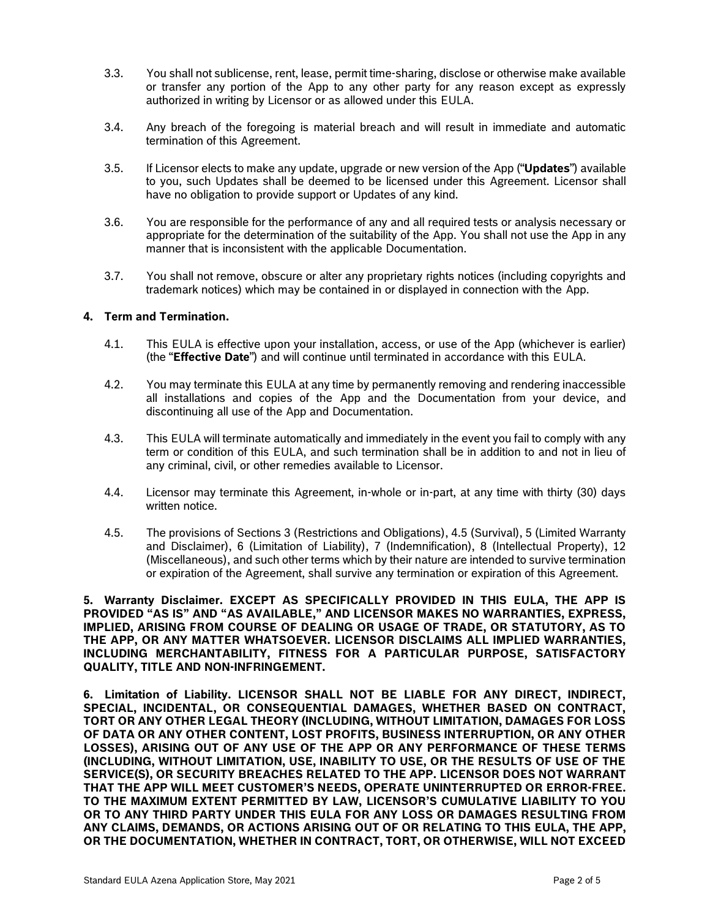- 3.3. You shall not sublicense, rent, lease, permit time-sharing, disclose or otherwise make available or transfer any portion of the App to any other party for any reason except as expressly authorized in writing by Licensor or as allowed under this EULA.
- 3.4. Any breach of the foregoing is material breach and will result in immediate and automatic termination of this Agreement.
- 3.5. If Licensor elects to make any update, upgrade or new version of the App ("**Updates**") available to you, such Updates shall be deemed to be licensed under this Agreement. Licensor shall have no obligation to provide support or Updates of any kind.
- 3.6. You are responsible for the performance of any and all required tests or analysis necessary or appropriate for the determination of the suitability of the App. You shall not use the App in any manner that is inconsistent with the applicable Documentation.
- 3.7. You shall not remove, obscure or alter any proprietary rights notices (including copyrights and trademark notices) which may be contained in or displayed in connection with the App.

#### **4. Term and Termination.**

- 4.1. This EULA is effective upon your installation, access, or use of the App (whichever is earlier) (the "**Effective Date**") and will continue until terminated in accordance with this EULA.
- 4.2. You may terminate this EULA at any time by permanently removing and rendering inaccessible all installations and copies of the App and the Documentation from your device, and discontinuing all use of the App and Documentation.
- 4.3. This EULA will terminate automatically and immediately in the event you fail to comply with any term or condition of this EULA, and such termination shall be in addition to and not in lieu of any criminal, civil, or other remedies available to Licensor.
- 4.4. Licensor may terminate this Agreement, in-whole or in-part, at any time with thirty (30) days written notice.
- 4.5. The provisions of Sections 3 (Restrictions and Obligations), 4.5 (Survival), 5 (Limited Warranty and Disclaimer), 6 (Limitation of Liability), 7 (Indemnification), 8 (Intellectual Property), 12 (Miscellaneous), and such other terms which by their nature are intended to survive termination or expiration of the Agreement, shall survive any termination or expiration of this Agreement.

**5. Warranty Disclaimer. EXCEPT AS SPECIFICALLY PROVIDED IN THIS EULA, THE APP IS PROVIDED "AS IS" AND "AS AVAILABLE," AND LICENSOR MAKES NO WARRANTIES, EXPRESS, IMPLIED, ARISING FROM COURSE OF DEALING OR USAGE OF TRADE, OR STATUTORY, AS TO THE APP, OR ANY MATTER WHATSOEVER. LICENSOR DISCLAIMS ALL IMPLIED WARRANTIES, INCLUDING MERCHANTABILITY, FITNESS FOR A PARTICULAR PURPOSE, SATISFACTORY QUALITY, TITLE AND NON-INFRINGEMENT.** 

**6. Limitation of Liability. LICENSOR SHALL NOT BE LIABLE FOR ANY DIRECT, INDIRECT, SPECIAL, INCIDENTAL, OR CONSEQUENTIAL DAMAGES, WHETHER BASED ON CONTRACT, TORT OR ANY OTHER LEGAL THEORY (INCLUDING, WITHOUT LIMITATION, DAMAGES FOR LOSS OF DATA OR ANY OTHER CONTENT, LOST PROFITS, BUSINESS INTERRUPTION, OR ANY OTHER LOSSES), ARISING OUT OF ANY USE OF THE APP OR ANY PERFORMANCE OF THESE TERMS (INCLUDING, WITHOUT LIMITATION, USE, INABILITY TO USE, OR THE RESULTS OF USE OF THE SERVICE(S), OR SECURITY BREACHES RELATED TO THE APP. LICENSOR DOES NOT WARRANT THAT THE APP WILL MEET CUSTOMER'S NEEDS, OPERATE UNINTERRUPTED OR ERROR-FREE. TO THE MAXIMUM EXTENT PERMITTED BY LAW, LICENSOR'S CUMULATIVE LIABILITY TO YOU OR TO ANY THIRD PARTY UNDER THIS EULA FOR ANY LOSS OR DAMAGES RESULTING FROM ANY CLAIMS, DEMANDS, OR ACTIONS ARISING OUT OF OR RELATING TO THIS EULA, THE APP, OR THE DOCUMENTATION, WHETHER IN CONTRACT, TORT, OR OTHERWISE, WILL NOT EXCEED**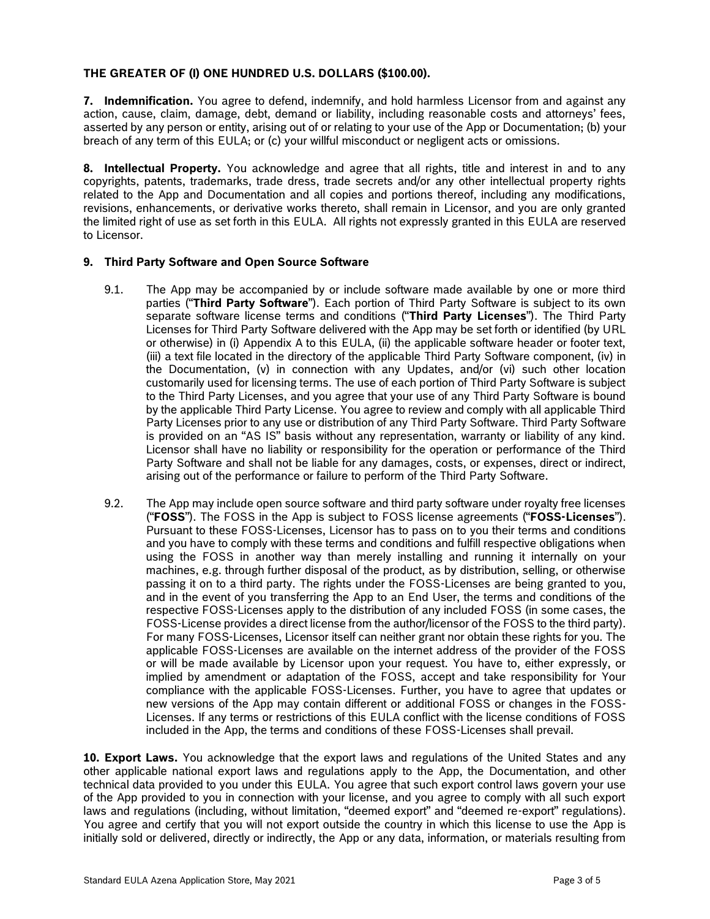# **THE GREATER OF (I) ONE HUNDRED U.S. DOLLARS (\$100.00).**

**7. Indemnification.** You agree to defend, indemnify, and hold harmless Licensor from and against any action, cause, claim, damage, debt, demand or liability, including reasonable costs and attorneys' fees, asserted by any person or entity, arising out of or relating to your use of the App or Documentation; (b) your breach of any term of this EULA; or (c) your willful misconduct or negligent acts or omissions.

**8. Intellectual Property.** You acknowledge and agree that all rights, title and interest in and to any copyrights, patents, trademarks, trade dress, trade secrets and/or any other intellectual property rights related to the App and Documentation and all copies and portions thereof, including any modifications, revisions, enhancements, or derivative works thereto, shall remain in Licensor, and you are only granted the limited right of use as set forth in this EULA. All rights not expressly granted in this EULA are reserved to Licensor.

# **9. Third Party Software and Open Source Software**

- 9.1. The App may be accompanied by or include software made available by one or more third parties ("**Third Party Software**"). Each portion of Third Party Software is subject to its own separate software license terms and conditions ("**Third Party Licenses**"). The Third Party Licenses for Third Party Software delivered with the App may be set forth or identified (by URL or otherwise) in (i) Appendix A to this EULA, (ii) the applicable software header or footer text, (iii) a text file located in the directory of the applicable Third Party Software component, (iv) in the Documentation, (v) in connection with any Updates, and/or (vi) such other location customarily used for licensing terms. The use of each portion of Third Party Software is subject to the Third Party Licenses, and you agree that your use of any Third Party Software is bound by the applicable Third Party License. You agree to review and comply with all applicable Third Party Licenses prior to any use or distribution of any Third Party Software. Third Party Software is provided on an "AS IS" basis without any representation, warranty or liability of any kind. Licensor shall have no liability or responsibility for the operation or performance of the Third Party Software and shall not be liable for any damages, costs, or expenses, direct or indirect, arising out of the performance or failure to perform of the Third Party Software.
- 9.2. The App may include open source software and third party software under royalty free licenses ("**FOSS**"). The FOSS in the App is subject to FOSS license agreements ("**FOSS-Licenses**"). Pursuant to these FOSS-Licenses, Licensor has to pass on to you their terms and conditions and you have to comply with these terms and conditions and fulfill respective obligations when using the FOSS in another way than merely installing and running it internally on your machines, e.g. through further disposal of the product, as by distribution, selling, or otherwise passing it on to a third party. The rights under the FOSS-Licenses are being granted to you, and in the event of you transferring the App to an End User, the terms and conditions of the respective FOSS-Licenses apply to the distribution of any included FOSS (in some cases, the FOSS-License provides a direct license from the author/licensor of the FOSS to the third party). For many FOSS-Licenses, Licensor itself can neither grant nor obtain these rights for you. The applicable FOSS-Licenses are available on the internet address of the provider of the FOSS or will be made available by Licensor upon your request. You have to, either expressly, or implied by amendment or adaptation of the FOSS, accept and take responsibility for Your compliance with the applicable FOSS-Licenses. Further, you have to agree that updates or new versions of the App may contain different or additional FOSS or changes in the FOSS-Licenses. If any terms or restrictions of this EULA conflict with the license conditions of FOSS included in the App, the terms and conditions of these FOSS-Licenses shall prevail.

**10. Export Laws.** You acknowledge that the export laws and regulations of the United States and any other applicable national export laws and regulations apply to the App, the Documentation, and other technical data provided to you under this EULA. You agree that such export control laws govern your use of the App provided to you in connection with your license, and you agree to comply with all such export laws and regulations (including, without limitation, "deemed export" and "deemed re-export" regulations). You agree and certify that you will not export outside the country in which this license to use the App is initially sold or delivered, directly or indirectly, the App or any data, information, or materials resulting from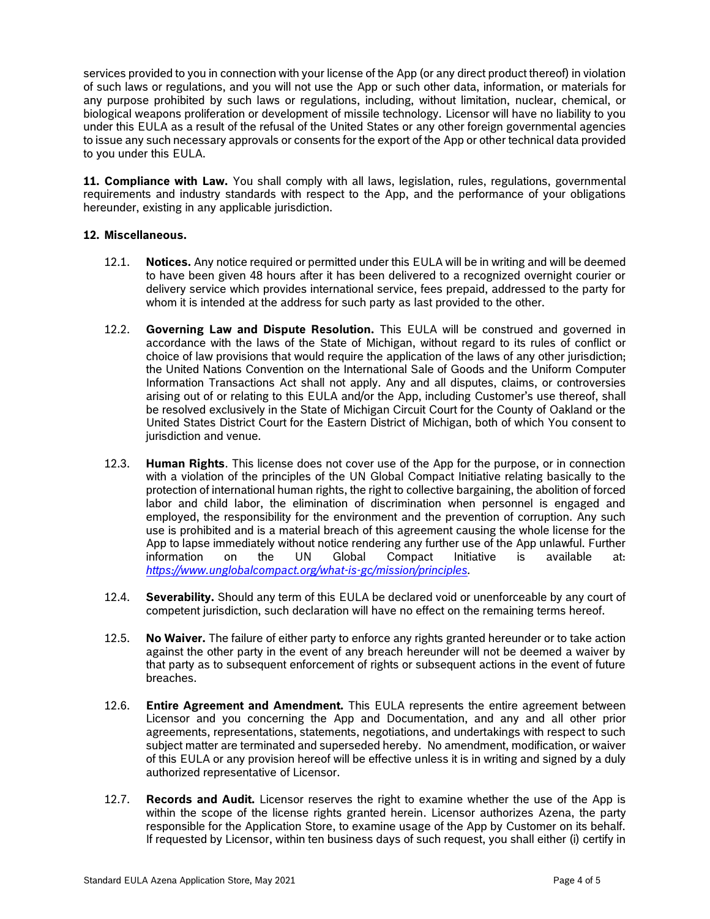services provided to you in connection with your license of the App (or any direct product thereof) in violation of such laws or regulations, and you will not use the App or such other data, information, or materials for any purpose prohibited by such laws or regulations, including, without limitation, nuclear, chemical, or biological weapons proliferation or development of missile technology. Licensor will have no liability to you under this EULA as a result of the refusal of the United States or any other foreign governmental agencies to issue any such necessary approvals or consents for the export of the App or other technical data provided to you under this EULA.

**11. Compliance with Law.** You shall comply with all laws, legislation, rules, regulations, governmental requirements and industry standards with respect to the App, and the performance of your obligations hereunder, existing in any applicable jurisdiction.

## **12. Miscellaneous.**

- 12.1. **Notices.** Any notice required or permitted under this EULA will be in writing and will be deemed to have been given 48 hours after it has been delivered to a recognized overnight courier or delivery service which provides international service, fees prepaid, addressed to the party for whom it is intended at the address for such party as last provided to the other.
- 12.2. **Governing Law and Dispute Resolution.** This EULA will be construed and governed in accordance with the laws of the State of Michigan, without regard to its rules of conflict or choice of law provisions that would require the application of the laws of any other jurisdiction; the United Nations Convention on the International Sale of Goods and the Uniform Computer Information Transactions Act shall not apply. Any and all disputes, claims, or controversies arising out of or relating to this EULA and/or the App, including Customer's use thereof, shall be resolved exclusively in the State of Michigan Circuit Court for the County of Oakland or the United States District Court for the Eastern District of Michigan, both of which You consent to jurisdiction and venue.
- 12.3. **Human Rights**. This license does not cover use of the App for the purpose, or in connection with a violation of the principles of the UN Global Compact Initiative relating basically to the protection of international human rights, the right to collective bargaining, the abolition of forced labor and child labor, the elimination of discrimination when personnel is engaged and employed, the responsibility for the environment and the prevention of corruption. Any such use is prohibited and is a material breach of this agreement causing the whole license for the App to lapse immediately without notice rendering any further use of the App unlawful. Further information on the UN Global Compact Initiative is available at: *[https://www.unglobalcompact.org/what-is-gc/mission/principles.](https://www.unglobalcompact.org/what-is-gc/mission/principles)*
- 12.4. **Severability.** Should any term of this EULA be declared void or unenforceable by any court of competent jurisdiction, such declaration will have no effect on the remaining terms hereof.
- 12.5. **No Waiver.** The failure of either party to enforce any rights granted hereunder or to take action against the other party in the event of any breach hereunder will not be deemed a waiver by that party as to subsequent enforcement of rights or subsequent actions in the event of future breaches.
- 12.6. **Entire Agreement and Amendment.** This EULA represents the entire agreement between Licensor and you concerning the App and Documentation, and any and all other prior agreements, representations, statements, negotiations, and undertakings with respect to such subject matter are terminated and superseded hereby. No amendment, modification, or waiver of this EULA or any provision hereof will be effective unless it is in writing and signed by a duly authorized representative of Licensor.
- 12.7. **Records and Audit.** Licensor reserves the right to examine whether the use of the App is within the scope of the license rights granted herein. Licensor authorizes Azena, the party responsible for the Application Store, to examine usage of the App by Customer on its behalf. If requested by Licensor, within ten business days of such request, you shall either (i) certify in